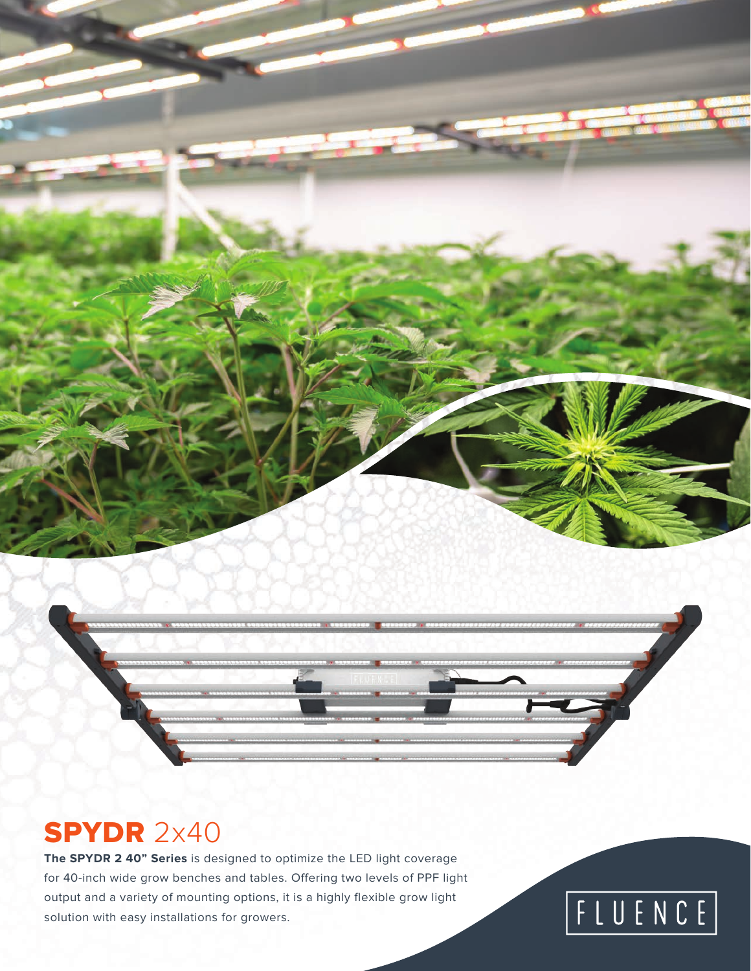### SPYDR 2x40

**The SPYDR 2 40" Series** is designed to optimize the LED light coverage for 40-inch wide grow benches and tables. Offering two levels of PPF light output and a variety of mounting options, it is a highly flexible grow light solution with easy installations for growers.

# FLUENCE